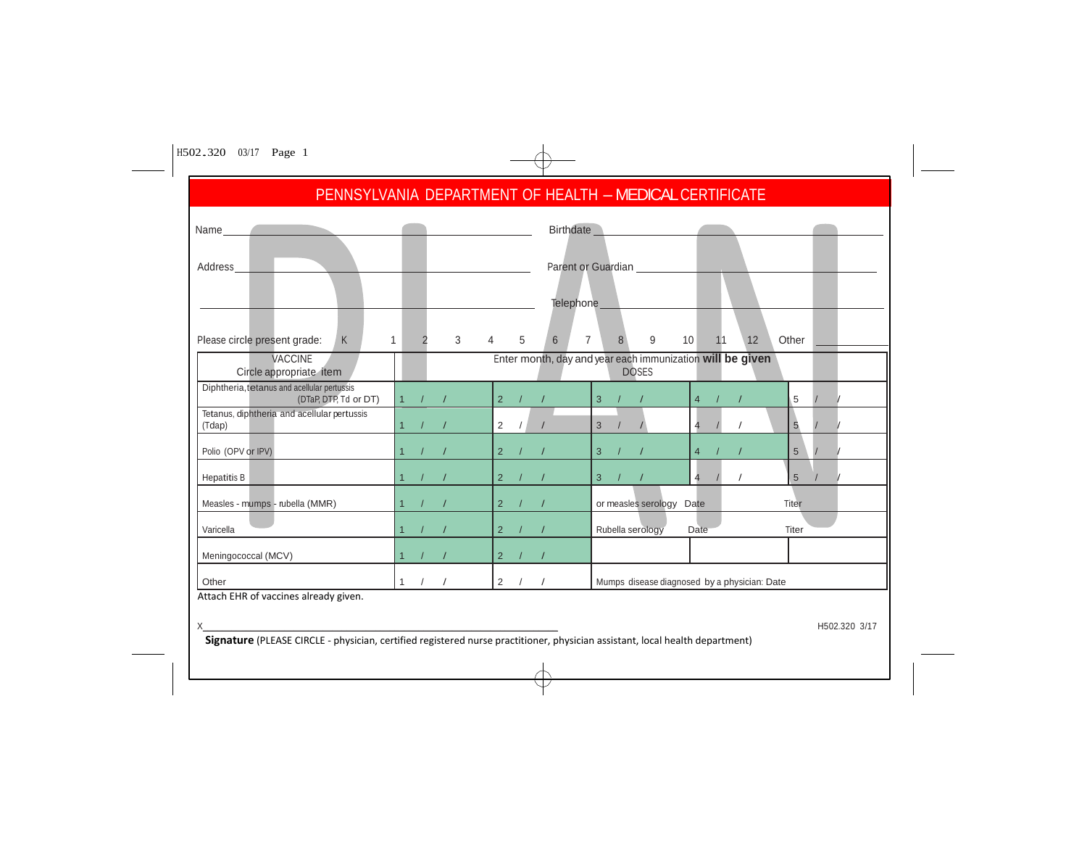|                                                                      |                                  | PENNSYLVANIA DEPARTMENT OF HEALTH - MEDICAL CERTIFICATE |                                                                           |                                              |                 |
|----------------------------------------------------------------------|----------------------------------|---------------------------------------------------------|---------------------------------------------------------------------------|----------------------------------------------|-----------------|
| Name                                                                 |                                  |                                                         | Birthdate New York 1999                                                   |                                              |                 |
| Address                                                              |                                  |                                                         | Parent or Guardian                                                        |                                              |                 |
|                                                                      |                                  |                                                         |                                                                           |                                              |                 |
|                                                                      |                                  |                                                         | Telephone___                                                              |                                              |                 |
| Please circle present grade:<br>K                                    | $\mathbf{1}$<br>$3^{\circ}$<br>2 | 6 <sup>1</sup><br>$\overline{4}$<br>5                   | $\overline{7}$<br>9<br>8                                                  | 10 <sup>1</sup><br>12<br>11                  | Other           |
| VACCINE<br>Circle appropriate item                                   |                                  |                                                         | Enter month, day and year each immunization will be given<br><b>DOSES</b> |                                              |                 |
| Diphtheria, tetanus and acellular pertussis<br>(DTaP, DTP, Td or DT) | 1 / 1                            | 2 / 1                                                   | $\overline{3}$<br>$\frac{1}{2}$                                           | $\overline{4}$<br>$\sqrt{ }$<br>$\prime$     | 5               |
| Tetanus, diphtheria and acellular pertussis<br>(Tdap)                | 1 / I                            | 2 / / /                                                 | 3 /                                                                       | $\prime$<br>4                                | $5\overline{)}$ |
| Polio (OPV or IPV)                                                   | 1 / /                            | 2 / /                                                   | 3 / /                                                                     | $\overline{4}$                               | $5\overline{)}$ |
| Hepatitis B                                                          | 1 / I                            | 2 / /                                                   | 3 / /                                                                     | $\prime$<br>4                                | $5\overline{)}$ |
| Measles - mumps - rubella (MMR)                                      | 1 / /                            | 2 / /                                                   | or measles serology Date                                                  |                                              | Titer           |
| Varicella                                                            | 1 / I                            | 2 / /                                                   | Rubella serology                                                          | Date                                         | Titer           |
| Meningococcal (MCV)                                                  | 1 / I                            | $2 / l / l$                                             |                                                                           |                                              |                 |
|                                                                      | 1 / /                            | 2 / /                                                   |                                                                           | Mumps disease diagnosed by a physician: Date |                 |

 $\overline{\varphi}$